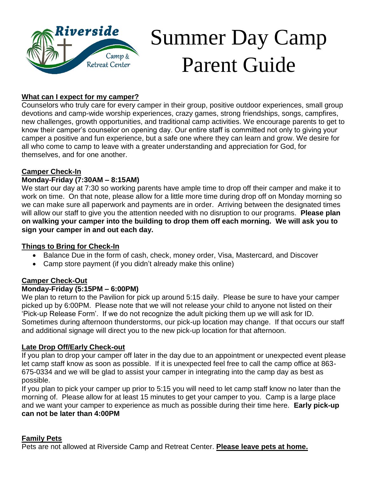

# Summer Day Camp Parent Guide

#### **What can I expect for my camper?**

Counselors who truly care for every camper in their group, positive outdoor experiences, small group devotions and camp-wide worship experiences, crazy games, strong friendships, songs, campfires, new challenges, growth opportunities, and traditional camp activities. We encourage parents to get to know their camper's counselor on opening day. Our entire staff is committed not only to giving your camper a positive and fun experience, but a safe one where they can learn and grow. We desire for all who come to camp to leave with a greater understanding and appreciation for God, for themselves, and for one another.

#### **Camper Check-In**

#### **Monday-Friday (7:30AM – 8:15AM)**

We start our day at 7:30 so working parents have ample time to drop off their camper and make it to work on time. On that note, please allow for a little more time during drop off on Monday morning so we can make sure all paperwork and payments are in order. Arriving between the designated times will allow our staff to give you the attention needed with no disruption to our programs. **Please plan on walking your camper into the building to drop them off each morning. We will ask you to sign your camper in and out each day.**

#### **Things to Bring for Check-In**

- Balance Due in the form of cash, check, money order, Visa, Mastercard, and Discover
- Camp store payment (if you didn't already make this online)

#### **Camper Check-Out**

#### **Monday-Friday (5:15PM – 6:00PM)**

We plan to return to the Pavilion for pick up around 5:15 daily. Please be sure to have your camper picked up by 6:00PM. Please note that we will not release your child to anyone not listed on their 'Pick-up Release Form'. If we do not recognize the adult picking them up we will ask for ID. Sometimes during afternoon thunderstorms, our pick-up location may change. If that occurs our staff and additional signage will direct you to the new pick-up location for that afternoon.

#### **Late Drop Off/Early Check-out**

If you plan to drop your camper off later in the day due to an appointment or unexpected event please let camp staff know as soon as possible. If it is unexpected feel free to call the camp office at 863- 675-0334 and we will be glad to assist your camper in integrating into the camp day as best as possible.

If you plan to pick your camper up prior to 5:15 you will need to let camp staff know no later than the morning of. Please allow for at least 15 minutes to get your camper to you. Camp is a large place and we want your camper to experience as much as possible during their time here. **Early pick-up can not be later than 4:00PM**

#### **Family Pets**

Pets are not allowed at Riverside Camp and Retreat Center. **Please leave pets at home.**